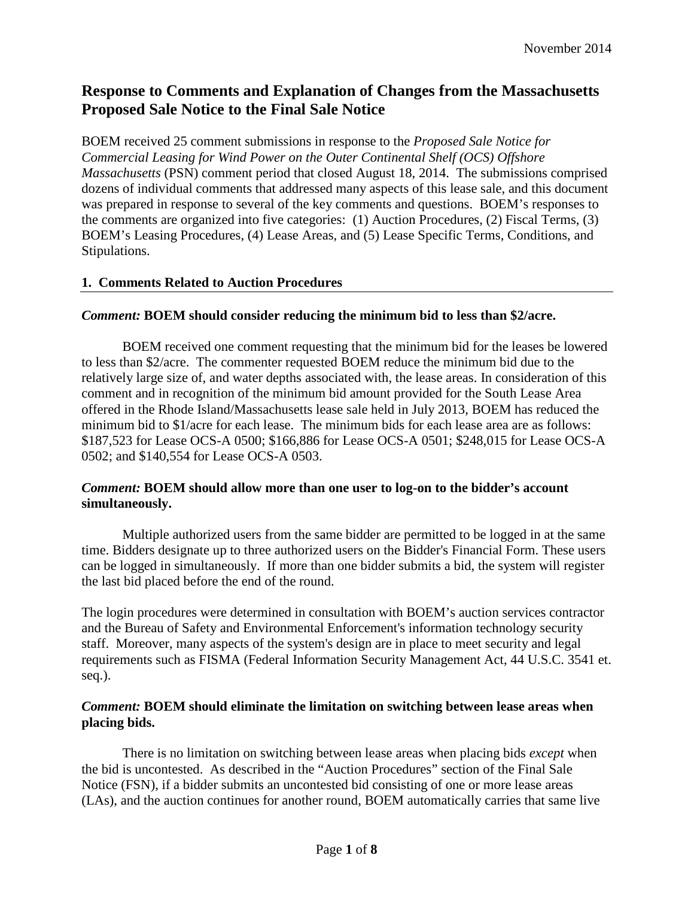# **Response to Comments and Explanation of Changes from the Massachusetts Proposed Sale Notice to the Final Sale Notice**

BOEM received 25 comment submissions in response to the *Proposed Sale Notice for Commercial Leasing for Wind Power on the Outer Continental Shelf (OCS) Offshore Massachusetts* (PSN) comment period that closed August 18, 2014. The submissions comprised dozens of individual comments that addressed many aspects of this lease sale, and this document was prepared in response to several of the key comments and questions. BOEM's responses to the comments are organized into five categories: (1) Auction Procedures, (2) Fiscal Terms, (3) BOEM's Leasing Procedures, (4) Lease Areas, and (5) Lease Specific Terms, Conditions, and Stipulations.

#### **1. Comments Related to Auction Procedures**

#### *Comment:* **BOEM should consider reducing the minimum bid to less than \$2/acre.**

BOEM received one comment requesting that the minimum bid for the leases be lowered to less than \$2/acre. The commenter requested BOEM reduce the minimum bid due to the relatively large size of, and water depths associated with, the lease areas. In consideration of this comment and in recognition of the minimum bid amount provided for the South Lease Area offered in the Rhode Island/Massachusetts lease sale held in July 2013, BOEM has reduced the minimum bid to \$1/acre for each lease. The minimum bids for each lease area are as follows: \$187,523 for Lease OCS-A 0500; \$166,886 for Lease OCS-A 0501; \$248,015 for Lease OCS-A 0502; and \$140,554 for Lease OCS-A 0503.

#### *Comment:* **BOEM should allow more than one user to log-on to the bidder's account simultaneously.**

Multiple authorized users from the same bidder are permitted to be logged in at the same time. Bidders designate up to three authorized users on the Bidder's Financial Form. These users can be logged in simultaneously. If more than one bidder submits a bid, the system will register the last bid placed before the end of the round.

The login procedures were determined in consultation with BOEM's auction services contractor and the Bureau of Safety and Environmental Enforcement's information technology security staff. Moreover, many aspects of the system's design are in place to meet security and legal requirements such as FISMA (Federal Information Security Management Act, 44 U.S.C. 3541 et. seq.).

#### *Comment:* **BOEM should eliminate the limitation on switching between lease areas when placing bids.**

There is no limitation on switching between lease areas when placing bids *except* when the bid is uncontested. As described in the "Auction Procedures" section of the Final Sale Notice (FSN), if a bidder submits an uncontested bid consisting of one or more lease areas (LAs), and the auction continues for another round, BOEM automatically carries that same live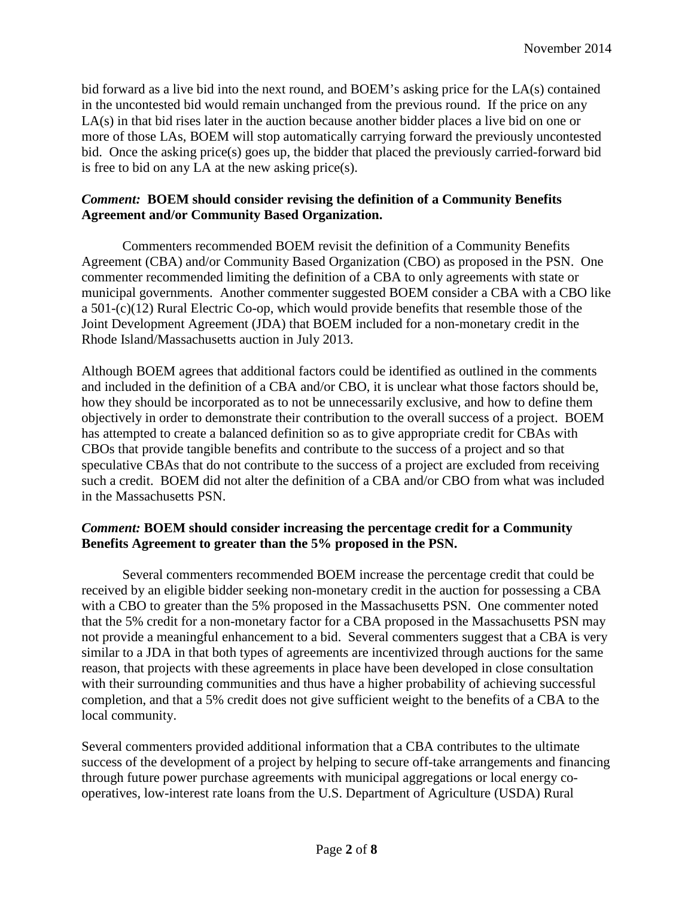bid forward as a live bid into the next round, and BOEM's asking price for the LA(s) contained in the uncontested bid would remain unchanged from the previous round. If the price on any LA(s) in that bid rises later in the auction because another bidder places a live bid on one or more of those LAs, BOEM will stop automatically carrying forward the previously uncontested bid. Once the asking price(s) goes up, the bidder that placed the previously carried-forward bid is free to bid on any LA at the new asking price(s).

### *Comment:* **BOEM should consider revising the definition of a Community Benefits Agreement and/or Community Based Organization.**

Commenters recommended BOEM revisit the definition of a Community Benefits Agreement (CBA) and/or Community Based Organization (CBO) as proposed in the PSN. One commenter recommended limiting the definition of a CBA to only agreements with state or municipal governments. Another commenter suggested BOEM consider a CBA with a CBO like a 501-(c)(12) Rural Electric Co-op, which would provide benefits that resemble those of the Joint Development Agreement (JDA) that BOEM included for a non-monetary credit in the Rhode Island/Massachusetts auction in July 2013.

Although BOEM agrees that additional factors could be identified as outlined in the comments and included in the definition of a CBA and/or CBO, it is unclear what those factors should be, how they should be incorporated as to not be unnecessarily exclusive, and how to define them objectively in order to demonstrate their contribution to the overall success of a project. BOEM has attempted to create a balanced definition so as to give appropriate credit for CBAs with CBOs that provide tangible benefits and contribute to the success of a project and so that speculative CBAs that do not contribute to the success of a project are excluded from receiving such a credit. BOEM did not alter the definition of a CBA and/or CBO from what was included in the Massachusetts PSN.

## *Comment:* **BOEM should consider increasing the percentage credit for a Community Benefits Agreement to greater than the 5% proposed in the PSN.**

Several commenters recommended BOEM increase the percentage credit that could be received by an eligible bidder seeking non-monetary credit in the auction for possessing a CBA with a CBO to greater than the 5% proposed in the Massachusetts PSN. One commenter noted that the 5% credit for a non-monetary factor for a CBA proposed in the Massachusetts PSN may not provide a meaningful enhancement to a bid. Several commenters suggest that a CBA is very similar to a JDA in that both types of agreements are incentivized through auctions for the same reason, that projects with these agreements in place have been developed in close consultation with their surrounding communities and thus have a higher probability of achieving successful completion, and that a 5% credit does not give sufficient weight to the benefits of a CBA to the local community.

Several commenters provided additional information that a CBA contributes to the ultimate success of the development of a project by helping to secure off-take arrangements and financing through future power purchase agreements with municipal aggregations or local energy cooperatives, low-interest rate loans from the U.S. Department of Agriculture (USDA) Rural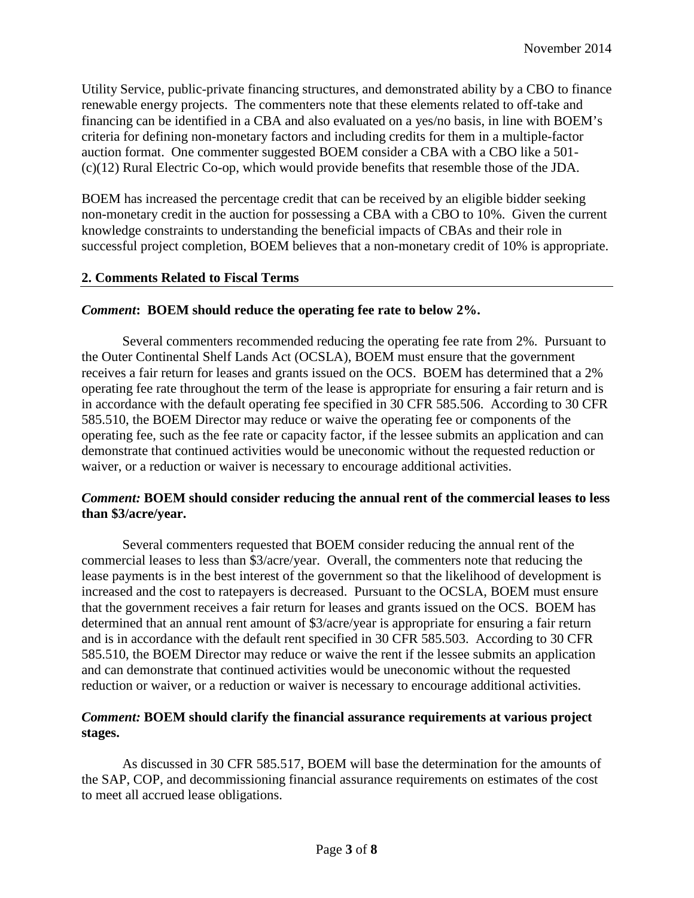Utility Service, public-private financing structures, and demonstrated ability by a CBO to finance renewable energy projects. The commenters note that these elements related to off-take and financing can be identified in a CBA and also evaluated on a yes/no basis, in line with BOEM's criteria for defining non-monetary factors and including credits for them in a multiple-factor auction format. One commenter suggested BOEM consider a CBA with a CBO like a 501- (c)(12) Rural Electric Co-op, which would provide benefits that resemble those of the JDA.

BOEM has increased the percentage credit that can be received by an eligible bidder seeking non-monetary credit in the auction for possessing a CBA with a CBO to 10%. Given the current knowledge constraints to understanding the beneficial impacts of CBAs and their role in successful project completion, BOEM believes that a non-monetary credit of 10% is appropriate.

## **2. Comments Related to Fiscal Terms**

## *Comment***:****BOEM should reduce the operating fee rate to below 2%.**

Several commenters recommended reducing the operating fee rate from 2%. Pursuant to the Outer Continental Shelf Lands Act (OCSLA), BOEM must ensure that the government receives a fair return for leases and grants issued on the OCS. BOEM has determined that a 2% operating fee rate throughout the term of the lease is appropriate for ensuring a fair return and is in accordance with the default operating fee specified in 30 CFR 585.506. According to 30 CFR 585.510, the BOEM Director may reduce or waive the operating fee or components of the operating fee, such as the fee rate or capacity factor, if the lessee submits an application and can demonstrate that continued activities would be uneconomic without the requested reduction or waiver, or a reduction or waiver is necessary to encourage additional activities.

#### *Comment:* **BOEM should consider reducing the annual rent of the commercial leases to less than \$3/acre/year.**

Several commenters requested that BOEM consider reducing the annual rent of the commercial leases to less than \$3/acre/year. Overall, the commenters note that reducing the lease payments is in the best interest of the government so that the likelihood of development is increased and the cost to ratepayers is decreased. Pursuant to the OCSLA, BOEM must ensure that the government receives a fair return for leases and grants issued on the OCS. BOEM has determined that an annual rent amount of \$3/acre/year is appropriate for ensuring a fair return and is in accordance with the default rent specified in 30 CFR 585.503. According to 30 CFR 585.510, the BOEM Director may reduce or waive the rent if the lessee submits an application and can demonstrate that continued activities would be uneconomic without the requested reduction or waiver, or a reduction or waiver is necessary to encourage additional activities.

#### *Comment:* **BOEM should clarify the financial assurance requirements at various project stages.**

As discussed in 30 CFR 585.517, BOEM will base the determination for the amounts of the SAP, COP, and decommissioning financial assurance requirements on estimates of the cost to meet all accrued lease obligations.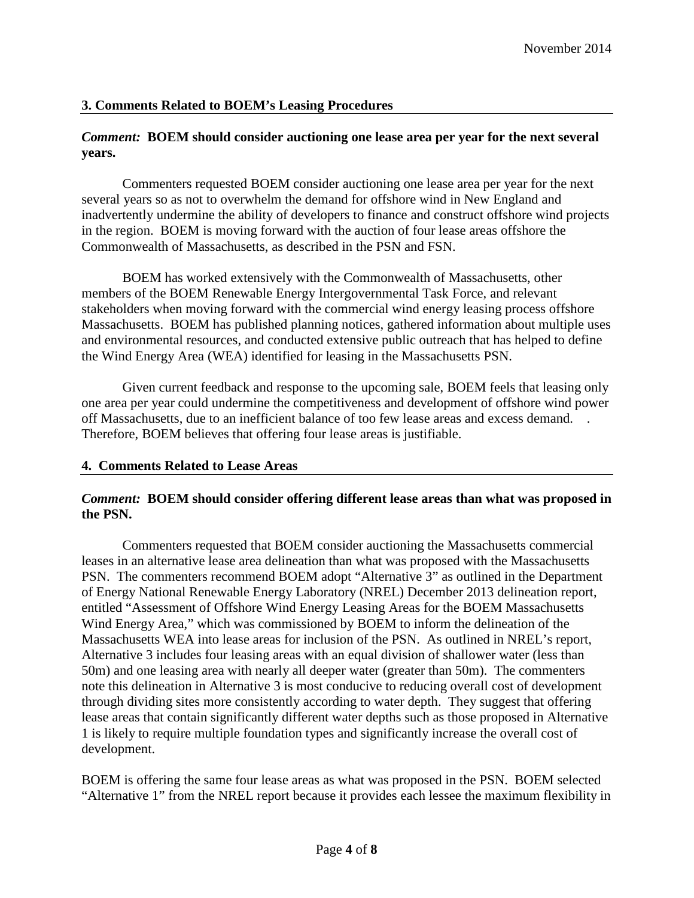#### **3. Comments Related to BOEM's Leasing Procedures**

#### *Comment:* **BOEM should consider auctioning one lease area per year for the next several years.**

Commenters requested BOEM consider auctioning one lease area per year for the next several years so as not to overwhelm the demand for offshore wind in New England and inadvertently undermine the ability of developers to finance and construct offshore wind projects in the region. BOEM is moving forward with the auction of four lease areas offshore the Commonwealth of Massachusetts, as described in the PSN and FSN.

BOEM has worked extensively with the Commonwealth of Massachusetts, other members of the BOEM Renewable Energy Intergovernmental Task Force, and relevant stakeholders when moving forward with the commercial wind energy leasing process offshore Massachusetts. BOEM has published planning notices, gathered information about multiple uses and environmental resources, and conducted extensive public outreach that has helped to define the Wind Energy Area (WEA) identified for leasing in the Massachusetts PSN.

Given current feedback and response to the upcoming sale, BOEM feels that leasing only one area per year could undermine the competitiveness and development of offshore wind power off Massachusetts, due to an inefficient balance of too few lease areas and excess demand. . Therefore, BOEM believes that offering four lease areas is justifiable.

#### **4. Comments Related to Lease Areas**

#### *Comment:* **BOEM should consider offering different lease areas than what was proposed in the PSN.**

Commenters requested that BOEM consider auctioning the Massachusetts commercial leases in an alternative lease area delineation than what was proposed with the Massachusetts PSN. The commenters recommend BOEM adopt "Alternative 3" as outlined in the Department of Energy National Renewable Energy Laboratory (NREL) December 2013 delineation report, entitled "Assessment of Offshore Wind Energy Leasing Areas for the BOEM Massachusetts Wind Energy Area," which was commissioned by BOEM to inform the delineation of the Massachusetts WEA into lease areas for inclusion of the PSN. As outlined in NREL's report, Alternative 3 includes four leasing areas with an equal division of shallower water (less than 50m) and one leasing area with nearly all deeper water (greater than 50m). The commenters note this delineation in Alternative 3 is most conducive to reducing overall cost of development through dividing sites more consistently according to water depth. They suggest that offering lease areas that contain significantly different water depths such as those proposed in Alternative 1 is likely to require multiple foundation types and significantly increase the overall cost of development.

BOEM is offering the same four lease areas as what was proposed in the PSN. BOEM selected "Alternative 1" from the NREL report because it provides each lessee the maximum flexibility in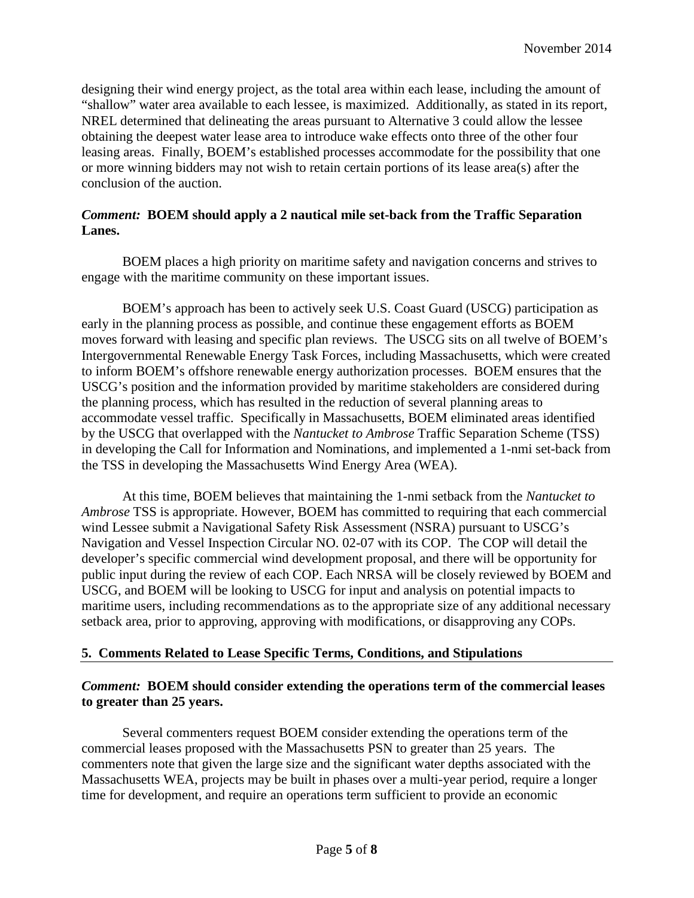designing their wind energy project, as the total area within each lease, including the amount of "shallow" water area available to each lessee, is maximized. Additionally, as stated in its report, NREL determined that delineating the areas pursuant to Alternative 3 could allow the lessee obtaining the deepest water lease area to introduce wake effects onto three of the other four leasing areas. Finally, BOEM's established processes accommodate for the possibility that one or more winning bidders may not wish to retain certain portions of its lease area(s) after the conclusion of the auction.

## *Comment:* **BOEM should apply a 2 nautical mile set-back from the Traffic Separation Lanes.**

BOEM places a high priority on maritime safety and navigation concerns and strives to engage with the maritime community on these important issues.

BOEM's approach has been to actively seek U.S. Coast Guard (USCG) participation as early in the planning process as possible, and continue these engagement efforts as BOEM moves forward with leasing and specific plan reviews. The USCG sits on all twelve of BOEM's Intergovernmental Renewable Energy Task Forces, including Massachusetts, which were created to inform BOEM's offshore renewable energy authorization processes. BOEM ensures that the USCG's position and the information provided by maritime stakeholders are considered during the planning process, which has resulted in the reduction of several planning areas to accommodate vessel traffic. Specifically in Massachusetts, BOEM eliminated areas identified by the USCG that overlapped with the *Nantucket to Ambrose* Traffic Separation Scheme (TSS) in developing the Call for Information and Nominations, and implemented a 1-nmi set-back from the TSS in developing the Massachusetts Wind Energy Area (WEA).

At this time, BOEM believes that maintaining the 1-nmi setback from the *Nantucket to Ambrose* TSS is appropriate. However, BOEM has committed to requiring that each commercial wind Lessee submit a Navigational Safety Risk Assessment (NSRA) pursuant to USCG's Navigation and Vessel Inspection Circular NO. 02-07 with its COP. The COP will detail the developer's specific commercial wind development proposal, and there will be opportunity for public input during the review of each COP. Each NRSA will be closely reviewed by BOEM and USCG, and BOEM will be looking to USCG for input and analysis on potential impacts to maritime users, including recommendations as to the appropriate size of any additional necessary setback area, prior to approving, approving with modifications, or disapproving any COPs.

## **5. Comments Related to Lease Specific Terms, Conditions, and Stipulations**

#### *Comment:* **BOEM should consider extending the operations term of the commercial leases to greater than 25 years.**

Several commenters request BOEM consider extending the operations term of the commercial leases proposed with the Massachusetts PSN to greater than 25 years. The commenters note that given the large size and the significant water depths associated with the Massachusetts WEA, projects may be built in phases over a multi-year period, require a longer time for development, and require an operations term sufficient to provide an economic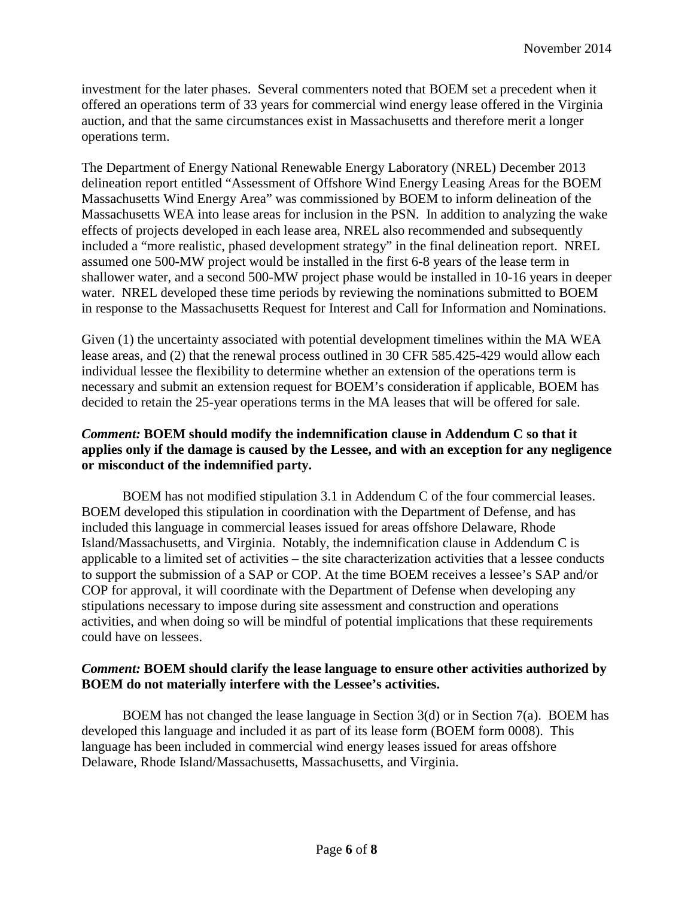investment for the later phases. Several commenters noted that BOEM set a precedent when it offered an operations term of 33 years for commercial wind energy lease offered in the Virginia auction, and that the same circumstances exist in Massachusetts and therefore merit a longer operations term.

The Department of Energy National Renewable Energy Laboratory (NREL) December 2013 delineation report entitled "Assessment of Offshore Wind Energy Leasing Areas for the BOEM Massachusetts Wind Energy Area" was commissioned by BOEM to inform delineation of the Massachusetts WEA into lease areas for inclusion in the PSN. In addition to analyzing the wake effects of projects developed in each lease area, NREL also recommended and subsequently included a "more realistic, phased development strategy" in the final delineation report. NREL assumed one 500-MW project would be installed in the first 6-8 years of the lease term in shallower water, and a second 500-MW project phase would be installed in 10-16 years in deeper water. NREL developed these time periods by reviewing the nominations submitted to BOEM in response to the Massachusetts Request for Interest and Call for Information and Nominations.

Given (1) the uncertainty associated with potential development timelines within the MA WEA lease areas, and (2) that the renewal process outlined in 30 CFR 585.425-429 would allow each individual lessee the flexibility to determine whether an extension of the operations term is necessary and submit an extension request for BOEM's consideration if applicable, BOEM has decided to retain the 25-year operations terms in the MA leases that will be offered for sale.

### *Comment:* **BOEM should modify the indemnification clause in Addendum C so that it applies only if the damage is caused by the Lessee, and with an exception for any negligence or misconduct of the indemnified party.**

BOEM has not modified stipulation 3.1 in Addendum C of the four commercial leases. BOEM developed this stipulation in coordination with the Department of Defense, and has included this language in commercial leases issued for areas offshore Delaware, Rhode Island/Massachusetts, and Virginia. Notably, the indemnification clause in Addendum C is applicable to a limited set of activities – the site characterization activities that a lessee conducts to support the submission of a SAP or COP. At the time BOEM receives a lessee's SAP and/or COP for approval, it will coordinate with the Department of Defense when developing any stipulations necessary to impose during site assessment and construction and operations activities, and when doing so will be mindful of potential implications that these requirements could have on lessees.

#### *Comment:* **BOEM should clarify the lease language to ensure other activities authorized by BOEM do not materially interfere with the Lessee's activities.**

BOEM has not changed the lease language in Section 3(d) or in Section 7(a). BOEM has developed this language and included it as part of its lease form (BOEM form 0008). This language has been included in commercial wind energy leases issued for areas offshore Delaware, Rhode Island/Massachusetts, Massachusetts, and Virginia.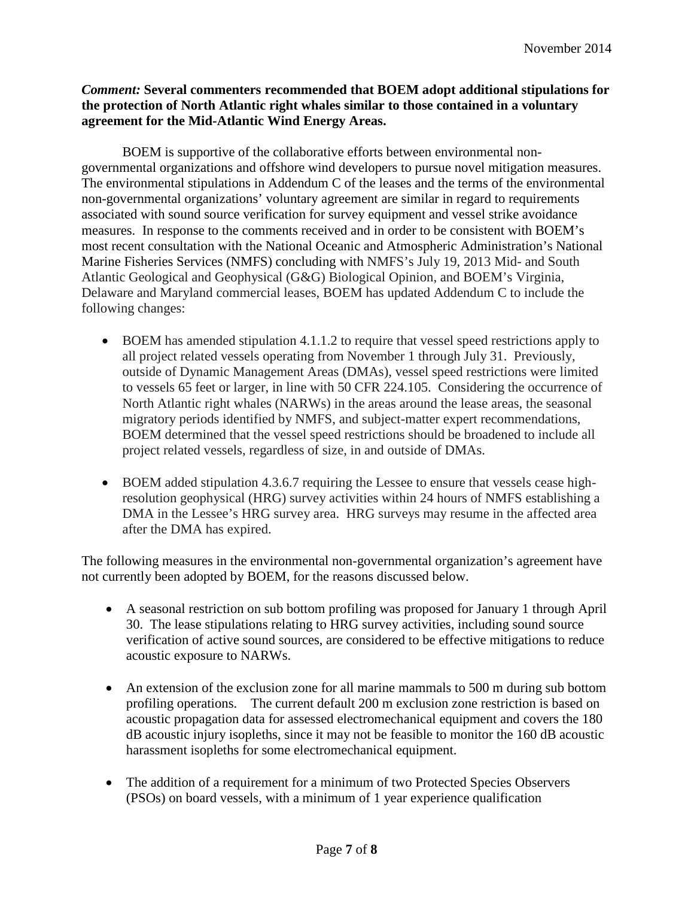## *Comment:* **Several commenters recommended that BOEM adopt additional stipulations for the protection of North Atlantic right whales similar to those contained in a voluntary agreement for the Mid-Atlantic Wind Energy Areas.**

BOEM is supportive of the collaborative efforts between environmental nongovernmental organizations and offshore wind developers to pursue novel mitigation measures. The environmental stipulations in Addendum C of the leases and the terms of the environmental non-governmental organizations' voluntary agreement are similar in regard to requirements associated with sound source verification for survey equipment and vessel strike avoidance measures. In response to the comments received and in order to be consistent with BOEM's most recent consultation with the National Oceanic and Atmospheric Administration's National Marine Fisheries Services (NMFS) concluding with NMFS's July 19, 2013 Mid- and South Atlantic Geological and Geophysical (G&G) Biological Opinion, and BOEM's Virginia, Delaware and Maryland commercial leases, BOEM has updated Addendum C to include the following changes:

- BOEM has amended stipulation 4.1.1.2 to require that vessel speed restrictions apply to all project related vessels operating from November 1 through July 31. Previously, outside of Dynamic Management Areas (DMAs), vessel speed restrictions were limited to vessels 65 feet or larger, in line with 50 CFR 224.105. Considering the occurrence of North Atlantic right whales (NARWs) in the areas around the lease areas, the seasonal migratory periods identified by NMFS, and subject-matter expert recommendations, BOEM determined that the vessel speed restrictions should be broadened to include all project related vessels, regardless of size, in and outside of DMAs.
- BOEM added stipulation 4.3.6.7 requiring the Lessee to ensure that vessels cease highresolution geophysical (HRG) survey activities within 24 hours of NMFS establishing a DMA in the Lessee's HRG survey area. HRG surveys may resume in the affected area after the DMA has expired.

The following measures in the environmental non-governmental organization's agreement have not currently been adopted by BOEM, for the reasons discussed below.

- A seasonal restriction on sub bottom profiling was proposed for January 1 through April 30. The lease stipulations relating to HRG survey activities, including sound source verification of active sound sources, are considered to be effective mitigations to reduce acoustic exposure to NARWs.
- An extension of the exclusion zone for all marine mammals to 500 m during sub bottom profiling operations. The current default 200 m exclusion zone restriction is based on acoustic propagation data for assessed electromechanical equipment and covers the 180 dB acoustic injury isopleths, since it may not be feasible to monitor the 160 dB acoustic harassment isopleths for some electromechanical equipment.
- The addition of a requirement for a minimum of two Protected Species Observers (PSOs) on board vessels, with a minimum of 1 year experience qualification